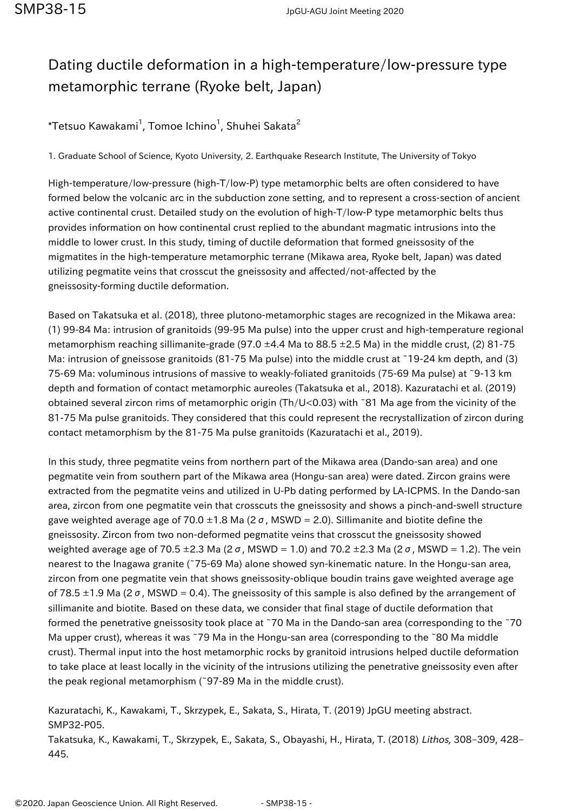## Dating ductile deformation in a high-temperature/low-pressure type metamorphic terrane (Ryoke belt, Japan)

 $^\ast$ Tetsuo Kawakami $^1$ , Tomoe Ichino $^1$ , Shuhei Sakata $^2$ 

1. Graduate School of Science, Kyoto University, 2. Earthquake Research Institute, The University of Tokyo

High-temperature/low-pressure (high-T/low-P) type metamorphic belts are often considered to have formed below the volcanic arc in the subduction zone setting, and to represent a cross-section of ancient active continental crust. Detailed study on the evolution of high-T/low-P type metamorphic belts thus provides information on how continental crust replied to the abundant magmatic intrusions into the middle to lower crust. In this study, timing of ductile deformation that formed gneissosity of the migmatites in the high-temperature metamorphic terrane (Mikawa area, Ryoke belt, Japan) was dated utilizing pegmatite veins that crosscut the gneissosity and affected/not-affected by the gneissosity-forming ductile deformation.

Based on Takatsuka et al. (2018), three plutono-metamorphic stages are recognized in the Mikawa area: (1) 99-84 Ma: intrusion of granitoids (99-95 Ma pulse) into the upper crust and high-temperature regional metamorphism reaching sillimanite-grade (97.0  $\pm$ 4.4 Ma to 88.5  $\pm$ 2.5 Ma) in the middle crust, (2) 81-75 Ma: intrusion of gneissose granitoids (81-75 Ma pulse) into the middle crust at ~19-24 km depth, and (3) 75-69 Ma: voluminous intrusions of massive to weakly-foliated granitoids (75-69 Ma pulse) at ~9-13 km depth and formation of contact metamorphic aureoles (Takatsuka et al., 2018). Kazuratachi et al. (2019) obtained several zircon rims of metamorphic origin (Th/U<0.03) with ~81 Ma age from the vicinity of the 81-75 Ma pulse granitoids. They considered that this could represent the recrystallization of zircon during contact metamorphism by the 81-75 Ma pulse granitoids (Kazuratachi et al., 2019).

In this study, three pegmatite veins from northern part of the Mikawa area (Dando-san area) and one pegmatite vein from southern part of the Mikawa area (Hongu-san area) were dated. Zircon grains were extracted from the pegmatite veins and utilized in U-Pb dating performed by LA-ICPMS. In the Dando-san area, zircon from one pegmatite vein that crosscuts the gneissosity and shows a pinch-and-swell structure gave weighted average age of 70.0  $\pm$ 1.8 Ma (2  $\sigma$ , MSWD = 2.0). Sillimanite and biotite define the gneissosity. Zircon from two non-deformed pegmatite veins that crosscut the gneissosity showed weighted average age of 70.5 ±2.3 Ma (2 σ, MSWD = 1.0) and 70.2 ±2.3 Ma (2 σ, MSWD = 1.2). The vein nearest to the Inagawa granite (~75-69 Ma) alone showed syn-kinematic nature. In the Hongu-san area, zircon from one pegmatite vein that shows gneissosity-oblique boudin trains gave weighted average age of 78.5  $\pm$ 1.9 Ma (2 $\sigma$ , MSWD = 0.4). The gneissosity of this sample is also defined by the arrangement of sillimanite and biotite. Based on these data, we consider that final stage of ductile deformation that formed the penetrative gneissosity took place at ~70 Ma in the Dando-san area (corresponding to the ~70 Ma upper crust), whereas it was ~79 Ma in the Hongu-san area (corresponding to the ~80 Ma middle crust). Thermal input into the host metamorphic rocks by granitoid intrusions helped ductile deformation to take place at least locally in the vicinity of the intrusions utilizing the penetrative gneissosity even after the peak regional metamorphism (~97-89 Ma in the middle crust).

Kazuratachi, K., Kawakami, T., Skrzypek, E., Sakata, S., Hirata, T. (2019) JpGU meeting abstract. SMP32-P05.

Takatsuka, K., Kawakami, T., Skrzypek, E., Sakata, S., Obayashi, H., Hirata, T. (2018) Lithos, 308–309, 428– 445.